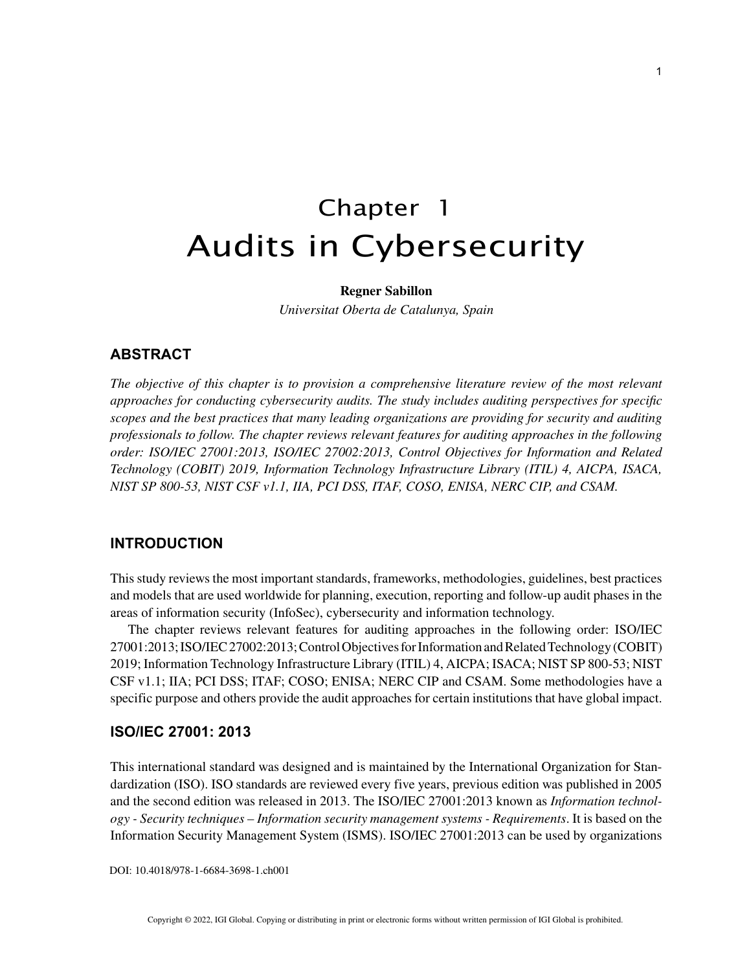# Chapter 1 Audits in Cybersecurity

## **Regner Sabillon**

*Universitat Oberta de Catalunya, Spain*

# **ABSTRACT**

*The objective of this chapter is to provision a comprehensive literature review of the most relevant approaches for conducting cybersecurity audits. The study includes auditing perspectives for specific scopes and the best practices that many leading organizations are providing for security and auditing professionals to follow. The chapter reviews relevant features for auditing approaches in the following order: ISO/IEC 27001:2013, ISO/IEC 27002:2013, Control Objectives for Information and Related Technology (COBIT) 2019, Information Technology Infrastructure Library (ITIL) 4, AICPA, ISACA, NIST SP 800-53, NIST CSF v1.1, IIA, PCI DSS, ITAF, COSO, ENISA, NERC CIP, and CSAM.*

# **INTRODUCTION**

This study reviews the most important standards, frameworks, methodologies, guidelines, best practices and models that are used worldwide for planning, execution, reporting and follow-up audit phases in the areas of information security (InfoSec), cybersecurity and information technology.

The chapter reviews relevant features for auditing approaches in the following order: ISO/IEC 27001:2013; ISO/IEC 27002:2013; Control Objectives for Information and Related Technology (COBIT) 2019; Information Technology Infrastructure Library (ITIL) 4, AICPA; ISACA; NIST SP 800-53; NIST CSF v1.1; IIA; PCI DSS; ITAF; COSO; ENISA; NERC CIP and CSAM. Some methodologies have a specific purpose and others provide the audit approaches for certain institutions that have global impact.

# **ISO/IEC 27001: 2013**

This international standard was designed and is maintained by the International Organization for Standardization (ISO). ISO standards are reviewed every five years, previous edition was published in 2005 and the second edition was released in 2013. The ISO/IEC 27001:2013 known as *Information technology - Security techniques – Information security management systems - Requirements*. It is based on the Information Security Management System (ISMS). ISO/IEC 27001:2013 can be used by organizations

DOI: 10.4018/978-1-6684-3698-1.ch001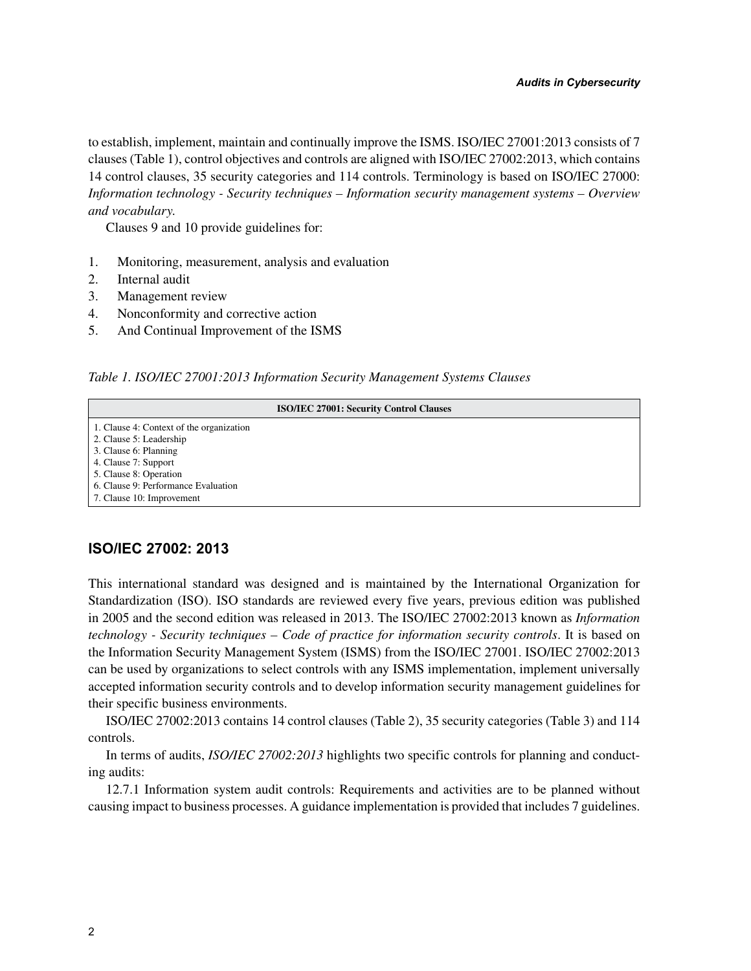to establish, implement, maintain and continually improve the ISMS. ISO/IEC 27001:2013 consists of 7 clauses (Table 1), control objectives and controls are aligned with ISO/IEC 27002:2013, which contains 14 control clauses, 35 security categories and 114 controls. Terminology is based on ISO/IEC 27000: *Information technology - Security techniques – Information security management systems – Overview and vocabulary.*

Clauses 9 and 10 provide guidelines for:

- 1. Monitoring, measurement, analysis and evaluation
- 2. Internal audit
- 3. Management review
- 4. Nonconformity and corrective action
- 5. And Continual Improvement of the ISMS

*Table 1. ISO/IEC 27001:2013 Information Security Management Systems Clauses*

| <b>ISO/IEC 27001: Security Control Clauses</b> |
|------------------------------------------------|
| 1. Clause 4: Context of the organization       |
| 2. Clause 5: Leadership                        |
| 3. Clause 6: Planning                          |
| 4. Clause 7: Support                           |
| 5. Clause 8: Operation                         |
| 6. Clause 9: Performance Evaluation            |
| 7. Clause 10: Improvement                      |

## **ISO/IEC 27002: 2013**

This international standard was designed and is maintained by the International Organization for Standardization (ISO). ISO standards are reviewed every five years, previous edition was published in 2005 and the second edition was released in 2013. The ISO/IEC 27002:2013 known as *Information technology - Security techniques – Code of practice for information security controls*. It is based on the Information Security Management System (ISMS) from the ISO/IEC 27001. ISO/IEC 27002:2013 can be used by organizations to select controls with any ISMS implementation, implement universally accepted information security controls and to develop information security management guidelines for their specific business environments.

ISO/IEC 27002:2013 contains 14 control clauses (Table 2), 35 security categories (Table 3) and 114 controls.

In terms of audits, *ISO/IEC 27002:2013* highlights two specific controls for planning and conducting audits:

12.7.1 Information system audit controls: Requirements and activities are to be planned without causing impact to business processes. A guidance implementation is provided that includes 7 guidelines.